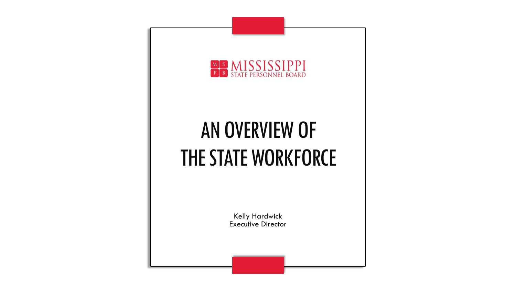

## AN OVERVIEW OF THE STATE WORKFORCE

Kelly Hardwick Executive Director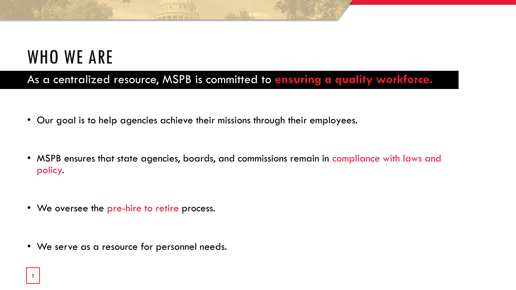### WHO WE ARE

As a centralized resource, MSPB is committed to **ensuring a quality workforce.**

• Our goal is to help agencies achieve their missions through their employees.

GER THE **STREET ET AL.** 

- MSPB ensures that state agencies, boards, and commissions remain in compliance with laws and policy.
- We oversee the pre-hire to retire process.
- We serve as a resource for personnel needs.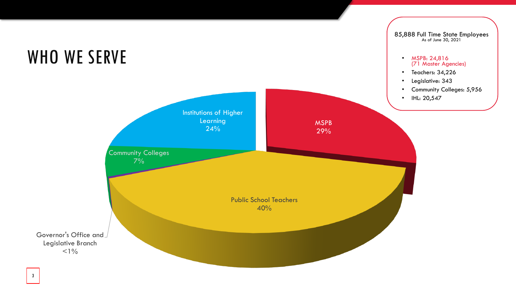

#### 3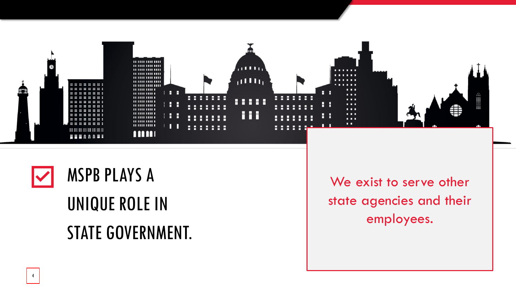



## UNIQUE ROLE IN

### STATE GOVERNMENT.

We exist to serve other state agencies and their employees.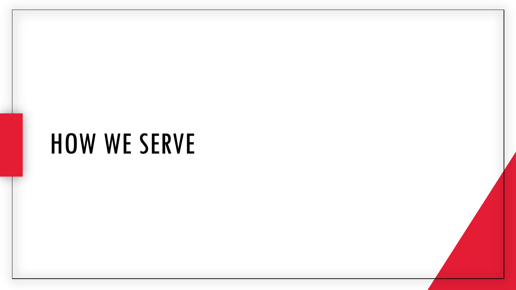## HOW WE SERVE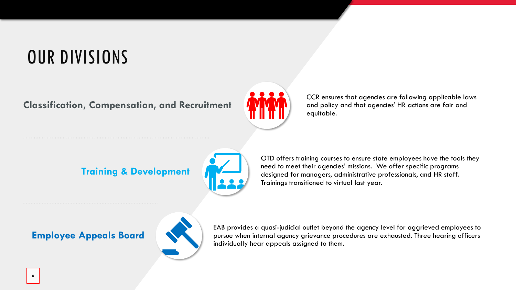### OUR DIVISIONS

**Classification, Compensation, and Recruitment**



CCR ensures that agencies are following applicable laws and policy and that agencies' HR actions are fair and equitable.

#### **Training & Development**



OTD offers training courses to ensure state employees have the tools they need to meet their agencies' missions. We offer specific programs designed for managers, administrative professionals, and HR staff. Trainings transitioned to virtual last year.



EAB provides a quasi-judicial outlet beyond the agency level for aggrieved employees to pursue when internal agency grievance procedures are exhausted. Three hearing officers individually hear appeals assigned to them.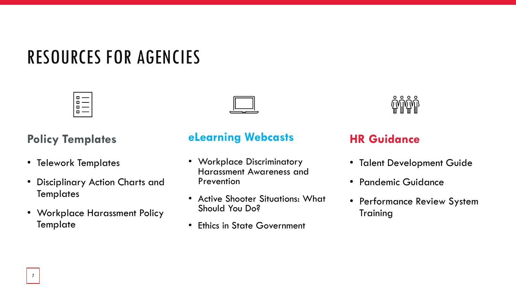### RESOURCES FOR AGENCIES



### **Policy Templates**

- Telework Templates
- Disciplinary Action Charts and **Templates**
- Workplace Harassment Policy **Template**

### **eLearning Webcasts**

- Workplace Discriminatory Harassment Awareness and Prevention
- Active Shooter Situations: What Should You Do?
- Ethics in State Government



#### **HR Guidance**

- Talent Development Guide
- Pandemic Guidance
- Performance Review System Training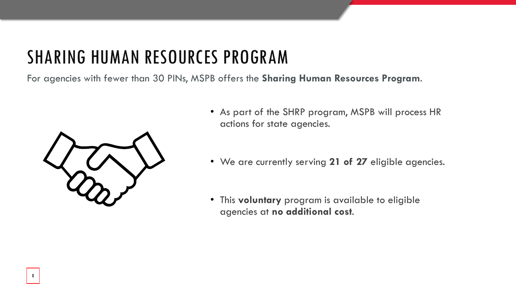### SHARING HUMAN RESOURCES PROGRAM

For agencies with fewer than 30 PINs, MSPB offers the **Sharing Human Resources Program**.



- As part of the SHRP program, MSPB will process HR actions for state agencies.
- We are currently serving **21 of 27** eligible agencies.
- This **voluntary** program is available to eligible agencies at **no additional cost**.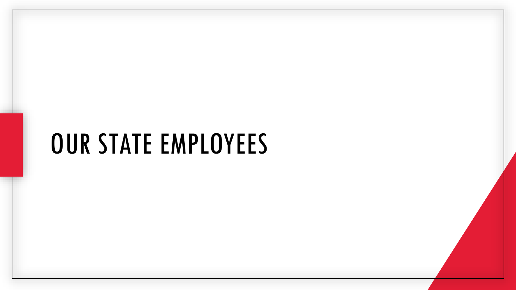## OUR STATE EMPLOYEES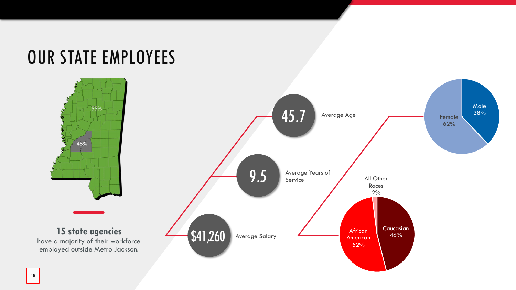### OUR STATE EMPLOYEES

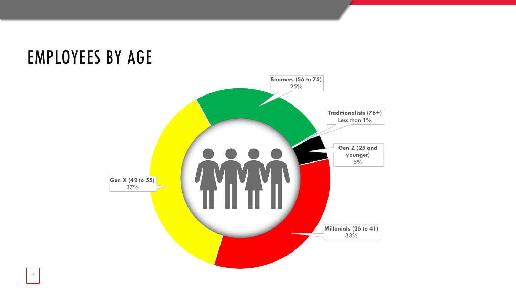### EMPLOYEES BY AGE

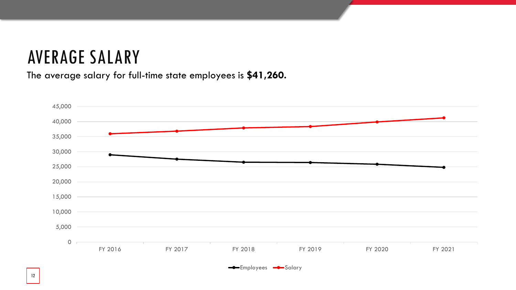### AVERAGE SALARY

The average salary for full-time state employees is **\$41,260.**



**-**Employees -Salary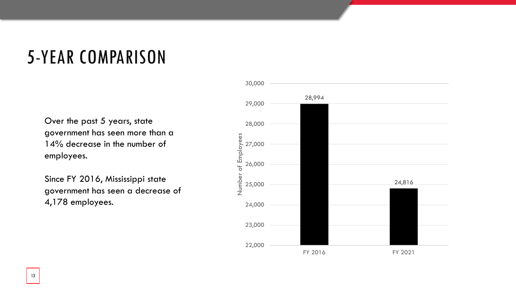### 5 -YEAR COMPARISON

Over the past 5 years, state government has seen more than a 14% decrease in the number of employees.

Since FY 2016, Mississippi state government has seen a decrease of 4,178 employees.

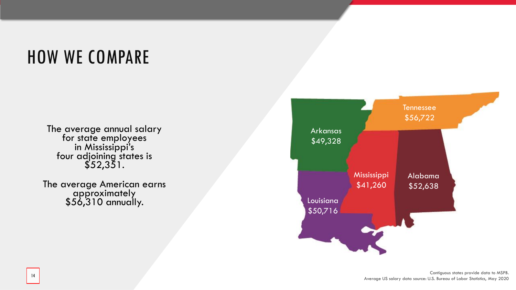### HOW WE COMPARE

The average annual salary for state employees in Mississippi's four adjoining states is \$52,351.

The average American earns approximately \$56,310 annually. Louisiana

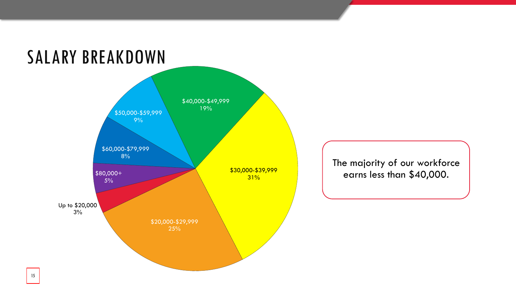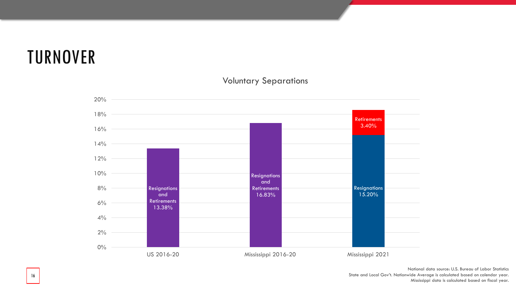### TURNOVER



Voluntary Separations

National data source: U.S. Bureau of Labor Statistics State and Local Gov't. Nationwide Average is calculated based on calendar year. Mississippi data is calculated based on fiscal year.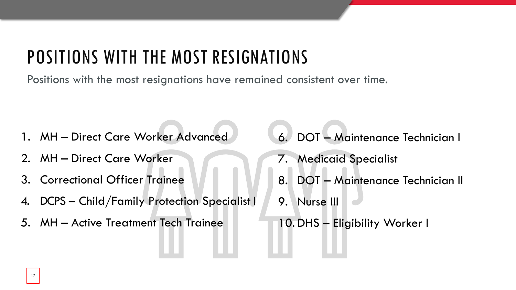### POSITIONS WITH THE MOST RESIGNATIONS

Positions with the most resignations have remained consistent over time.

- 1. MH Direct Care Worker Advanced
- 2. MH Direct Care Worker
- 3. Correctional Officer Trainee
- 4. DCPS Child/Family Protection Specialist I
- 5. MH Active Treatment Tech Trainee
- 6. DOT Maintenance Technician I
- 7. Medicaid Specialist
- 8. DOT Maintenance Technician II
- 9. Nurse III
- 10. DHS Eligibility Worker I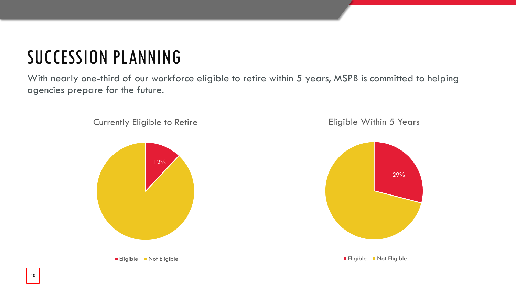### SUCCESSION PLANNING

With nearly one-third of our workforce eligible to retire within 5 years, MSPB is committed to helping agencies prepare for the future.



18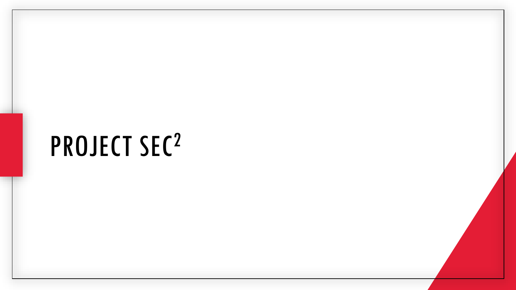## PROJECT SEC2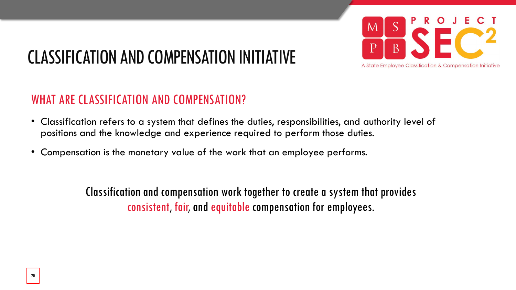

### CLASSIFICATION AND COMPENSATION INITIATIVE

### WHAT ARE CLASSIFICATION AND COMPENSATION?

- Classification refers to a system that defines the duties, responsibilities, and authority level of positions and the knowledge and experience required to perform those duties.
- Compensation is the monetary value of the work that an employee performs.

Classification and compensation work together to create a system that provides consistent, fair, and equitable compensation for employees.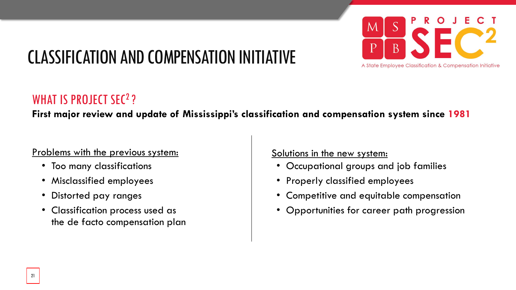

### CLASSIFICATION AND COMPENSATION INITIATIVE

### WHAT IS PROJECT SEC<sup>2</sup>?

**First major review and update of Mississippi's classification and compensation system since 1981**

#### Problems with the previous system:

- Too many classifications
- Misclassified employees
- Distorted pay ranges
- Classification process used as the de facto compensation plan

Solutions in the new system:

- Occupational groups and job families
- Properly classified employees
- Competitive and equitable compensation
- Opportunities for career path progression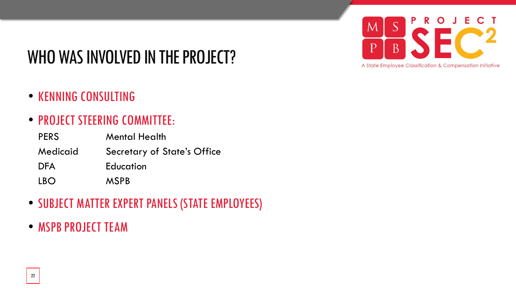#### E. P R  $\mathbf{O}$  $S$ M  $\overline{p}$  $\overline{B}$ A State Employee Classification & Compensation Initiative

### WHO WAS INVOLVED IN THE PROJECT?

- KENNING CONSULTING
- PROJECT STEERING COMMITTEE:

| <b>PERS</b> | <b>Mental Health</b>               |
|-------------|------------------------------------|
| Medicaid    | <b>Secretary of State's Office</b> |
| <b>DFA</b>  | Education                          |
| <b>IBO</b>  | <b>MSPB</b>                        |

- SUBJECT MATTER EXPERT PANELS (STATE EMPLOYEES)
- MSPB PROJECT TEAM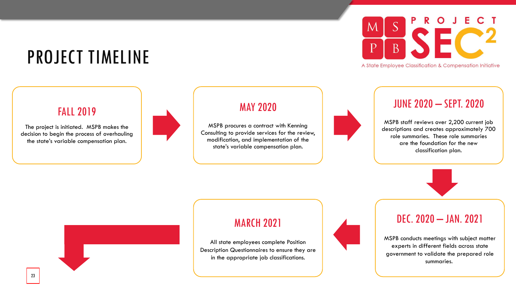### PROJECT TIMELINE

#### FALL 2019

The project is initiated. MSPB makes the decision to begin the process of overhauling the state's variable compensation plan.



#### MAY 2020

MSPB procures a contract with Kenning Consulting to provide services for the review, modification, and implementation of the state's variable compensation plan.



A State Employee Classification & Compensation Initiative

#### JUNE 2020 – SEPT. 2020

MSPB staff reviews over 2,200 current job descriptions and creates approximately 700 role summaries. These role summaries are the foundation for the new classification plan.



#### MARCH 2021

All state employees complete Position Description Questionnaires to ensure they are in the appropriate job classifications.



#### DEC. 2020 – JAN. 2021

MSPB conducts meetings with subject matter experts in different fields across state government to validate the prepared role summaries.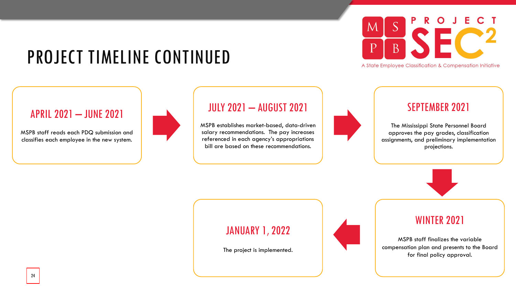### PROJECT TIMELINE CONTINUED



A State Employee Classification & Compensation Initiative

#### APRIL 2021 – JUNE 2021

MSPB staff reads each PDQ submission and classifies each employee in the new system.



#### JULY 2021 – AUGUST 2021

MSPB establishes market-based, data-driven salary recommendations. The pay increases referenced in each agency's appropriations bill are based on these recommendations.



#### SEPTEMBER 2021

The Mississippi State Personnel Board approves the pay grades, classification assignments, and preliminary implementation projections.



#### JANUARY 1, 2022

The project is implemented.



#### WINTER 2021

MSPB staff finalizes the variable compensation plan and presents to the Board for final policy approval.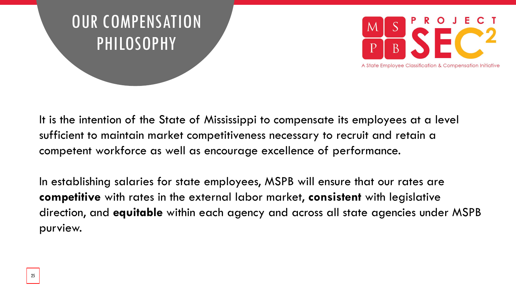



It is the intention of the State of Mississippi to compensate its employees at a level sufficient to maintain market competitiveness necessary to recruit and retain a competent workforce as well as encourage excellence of performance.

In establishing salaries for state employees, MSPB will ensure that our rates are **competitive** with rates in the external labor market, **consistent** with legislative direction, and **equitable** within each agency and across all state agencies under MSPB purview.